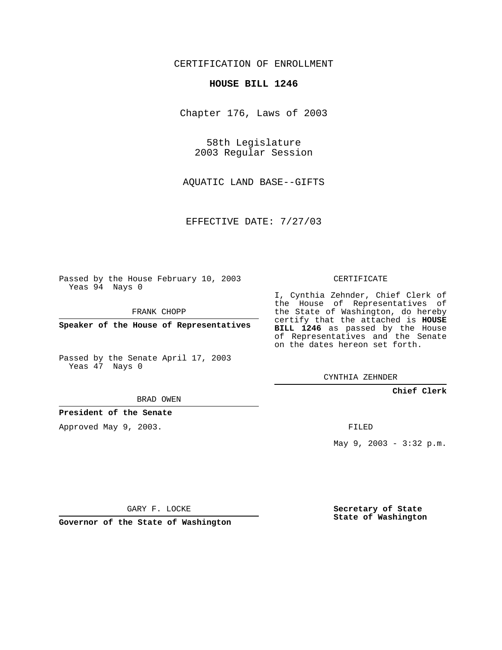CERTIFICATION OF ENROLLMENT

## **HOUSE BILL 1246**

Chapter 176, Laws of 2003

58th Legislature 2003 Regular Session

AQUATIC LAND BASE--GIFTS

EFFECTIVE DATE: 7/27/03

Passed by the House February 10, 2003 Yeas 94 Nays 0

FRANK CHOPP

**Speaker of the House of Representatives**

Passed by the Senate April 17, 2003 Yeas 47 Nays 0

BRAD OWEN

**President of the Senate**

Approved May 9, 2003.

CERTIFICATE

I, Cynthia Zehnder, Chief Clerk of the House of Representatives of the State of Washington, do hereby certify that the attached is **HOUSE BILL 1246** as passed by the House of Representatives and the Senate on the dates hereon set forth.

CYNTHIA ZEHNDER

**Chief Clerk**

FILED

May 9, 2003 - 3:32 p.m.

GARY F. LOCKE

**Governor of the State of Washington**

**Secretary of State State of Washington**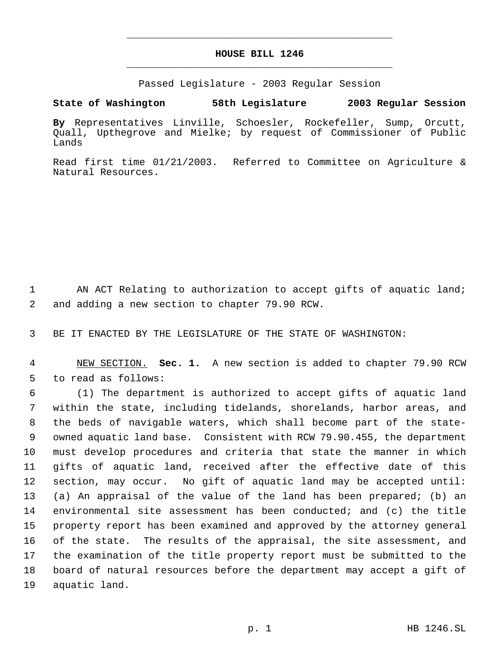## **HOUSE BILL 1246** \_\_\_\_\_\_\_\_\_\_\_\_\_\_\_\_\_\_\_\_\_\_\_\_\_\_\_\_\_\_\_\_\_\_\_\_\_\_\_\_\_\_\_\_\_

\_\_\_\_\_\_\_\_\_\_\_\_\_\_\_\_\_\_\_\_\_\_\_\_\_\_\_\_\_\_\_\_\_\_\_\_\_\_\_\_\_\_\_\_\_

Passed Legislature - 2003 Regular Session

**State of Washington 58th Legislature 2003 Regular Session**

**By** Representatives Linville, Schoesler, Rockefeller, Sump, Orcutt, Quall, Upthegrove and Mielke; by request of Commissioner of Public Lands

Read first time 01/21/2003. Referred to Committee on Agriculture & Natural Resources.

1 AN ACT Relating to authorization to accept gifts of aquatic land; 2 and adding a new section to chapter 79.90 RCW.

3 BE IT ENACTED BY THE LEGISLATURE OF THE STATE OF WASHINGTON:

 4 NEW SECTION. **Sec. 1.** A new section is added to chapter 79.90 RCW 5 to read as follows:

 (1) The department is authorized to accept gifts of aquatic land within the state, including tidelands, shorelands, harbor areas, and the beds of navigable waters, which shall become part of the state- owned aquatic land base. Consistent with RCW 79.90.455, the department must develop procedures and criteria that state the manner in which gifts of aquatic land, received after the effective date of this section, may occur. No gift of aquatic land may be accepted until: (a) An appraisal of the value of the land has been prepared; (b) an environmental site assessment has been conducted; and (c) the title property report has been examined and approved by the attorney general of the state. The results of the appraisal, the site assessment, and the examination of the title property report must be submitted to the board of natural resources before the department may accept a gift of aquatic land.